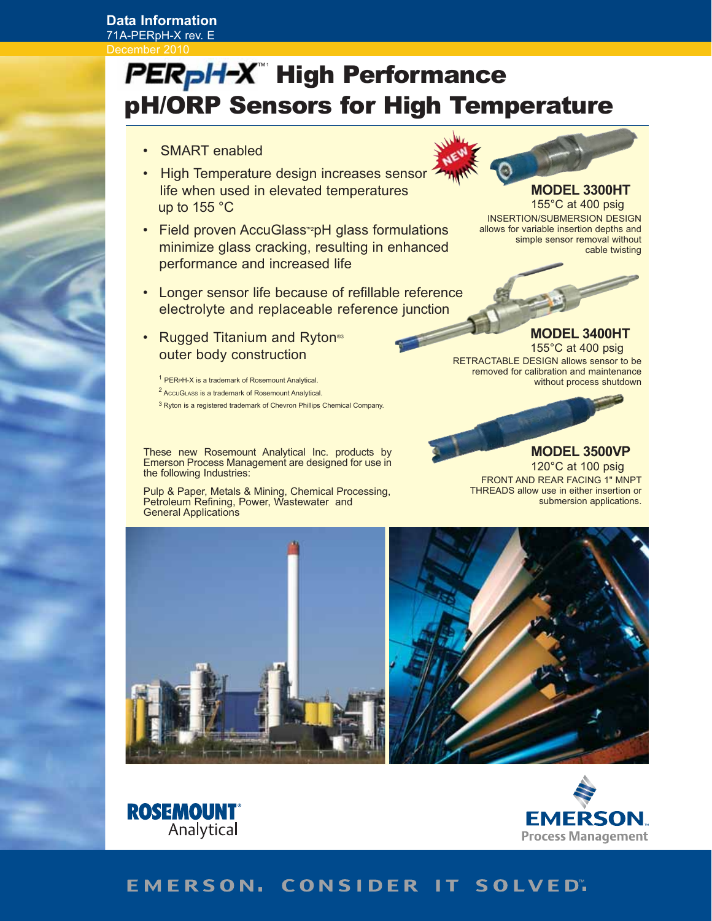## **Data Information**

71A-PERpH-X rev. E December 2010

# **Sore for High Tome** pH/ORP Sensors for High Temperature for High Temperature and High Temperature and High Temperature and High Temperature PERpH-X" High Performance

- SMART enabled
- High Temperature design increases sensor life when used in elevated temperatures up to 155 °C
- Field proven AccuGlass<sup>™</sup><sub>p</sub>H glass formulations minimize glass cracking, resulting in enhanced performance and increased life
- Longer sensor life because of refillable reference electrolyte and replaceable reference junction
- Rugged Titanium and Ryton<sup>®3</sup> outer body construction

<sup>1</sup> PERPH-X is a trademark of Rosemount Analytical. <sup>2</sup> AccuGLAss is a trademark of Rosemount Analytical.

3 Ryton is a registered trademark of Chevron Phillips Chemical Company.

These new Rosemount Analytical Inc. products by Emerson Process Management are designed for use in the following Industries:

Pulp & Paper, Metals & Mining, Chemical Processing, Petroleum Refining, Power, Wastewater and General Applications



## **MODEL 3300HT**

155°C at 400 psig INSERTION/SUBMERSION DESIGN allows for variable insertion depths and simple sensor removal without cable twisting



**MODEL 3400HT** 

155°C at 400 psig RETRACTABLE DESIGN allows sensor to be removed for calibration and maintenance without process shutdown



#### FRONT AND REAR FACING 1" MNPT THREADS allow use in either insertion or submersion applications. **MODEL 3500VP** 120°C at 100 psig





## EMERSON. CONSIDER IT SOLVED".